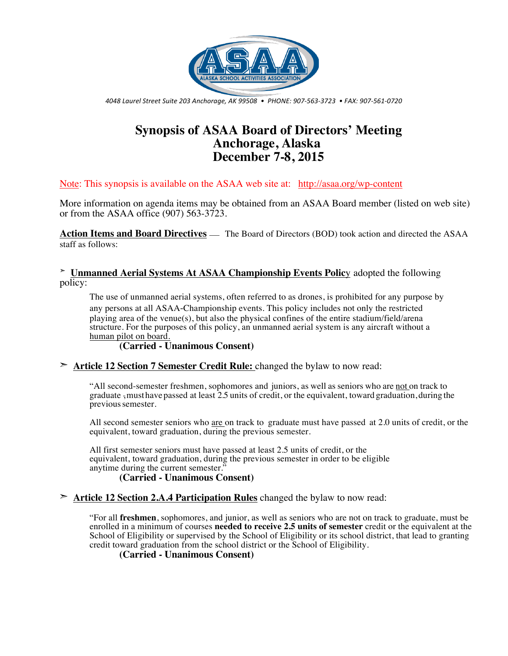

*4048 Laurel Street Suite 203 Anchorage, AK 99508 • PHONE: 907-563-3723 • FAX: 907-561-0720*

# **Synopsis of ASAA Board of Directors' Meeting Anchorage, Alaska December 7-8, 2015**

Note: This synopsis is available on the ASAA web site at: http://asaa.org/wp-content

More information on agenda items may be obtained from an ASAA Board member (listed on web site) or from the ASAA office (907) 563-3723.

**Action Items and Board Directives** — The Board of Directors (BOD) took action and directed the ASAA staff as follows:

➣ **Unmanned Aerial Systems At ASAA Championship Events Polic**y adopted the following policy:

The use of unmanned aerial systems, often referred to as drones, is prohibited for any purpose by any persons at all ASAA-Championship events. This policy includes not only the restricted playing area of the venue(s), but also the physical confines of the entire stadium/field/arena structure. For the purposes of this policy, an unmanned aerial system is any aircraft without a human pilot on board.

## **(Carried - Unanimous Consent)**

#### ➣ **Article 12 Section 7 Semester Credit Rule:** changed the bylaw to now read:

"All second-semester freshmen, sophomores and juniors, as well as seniors who are not on track to graduate  $\frac{1}{2}$  must have passed at least 2.5 units of credit, or the equivalent, toward graduation, during the previoussemester.

All second semester seniors who are on track to graduate must have passed at 2.0 units of credit, or the equivalent, toward graduation, during the previous semester.

All first semester seniors must have passed at least 2.5 units of credit, or the equivalent, toward graduation, during the previous semester in order to be eligible anytime during the current semester."

## **(Carried - Unanimous Consent)**

#### ➣ **Article 12 Section 2.A.4 Participation Rules** changed the bylaw to now read:

"For all **freshmen**, sophomores, and junior, as well as seniors who are not on track to graduate, must be enrolled in a minimum of courses **needed to receive 2.5 units of semester** credit or the equivalent at the School of Eligibility or supervised by the School of Eligibility or its school district, that lead to granting credit toward graduation from the school district or the School of Eligibility.

#### **(Carried - Unanimous Consent)**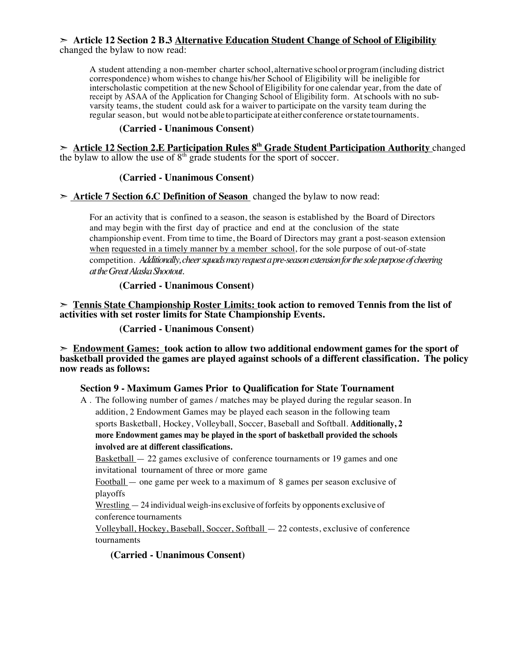#### ➣ **Article 12 Section 2 B.3 Alternative Education Student Change of School of Eligibility** changed the bylaw to now read:

A student attending a non-member charter school, alternative school or program(including district correspondence) whom wishes to change his/her School of Eligibility will be ineligible for interscholastic competition at the new School of Eligibility for one calendar year, from the date of receipt by ASAA of the Application for Changing School of Eligibility form. Atschools with no subvarsity teams, the student could ask for a waiver to participate on the varsity team during the regular season, but would not be able to participate at either conference or state tournaments.

# **(Carried - Unanimous Consent)**

➣ **Article 12 Section 2.E Participation Rules 8th Grade Student Participation Authority** changed the bylaw to allow the use of  $8<sup>th</sup>$  grade students for the sport of soccer.

# **(Carried - Unanimous Consent)**

➣ **Article 7 Section 6.C Definition of Season** changed the bylaw to now read:

For an activity that is confined to a season, the season is established by the Board of Directors and may begin with the first day of practice and end at the conclusion of the state championship event. From time to time, the Board of Directors may grant a post-season extension when requested in a timely manner by a member school, for the sole purpose of out-of-state competition. *Additionally, cheer squads may request a pre-season extension for the sole purpose of cheering at the Great Alaska Shootout.*

## **(Carried - Unanimous Consent)**

➣ **Tennis State Championship Roster Limits: took action to removed Tennis from the list of activities with set roster limits for State Championship Events.**

**(Carried - Unanimous Consent)**

➣ **Endowment Games: took action to allow two additional endowment games for the sport of basketball provided the games are played against schools of a different classification. The policy now reads as follows:**

## **Section 9 - Maximum Games Prior to Qualification for State Tournament**

A . The following number of games / matches may be played during the regular season. In addition, 2 Endowment Games may be played each season in the following team sports Basketball, Hockey, Volleyball, Soccer, Baseball and Softball. **Additionally, 2 more Endowment games may be played in the sport of basketball provided the schools involved are at different classifications.**

Basketball — 22 games exclusive of conference tournaments or 19 games and one invitational tournament of three or more game

Football — one game per week to a maximum of 8 games per season exclusive of playoffs

Wrestling  $-24$  individual weigh-ins exclusive of forfeits by opponents exclusive of conference tournaments

Volleyball, Hockey, Baseball, Soccer, Softball — 22 contests, exclusive of conference tournaments

**(Carried - Unanimous Consent)**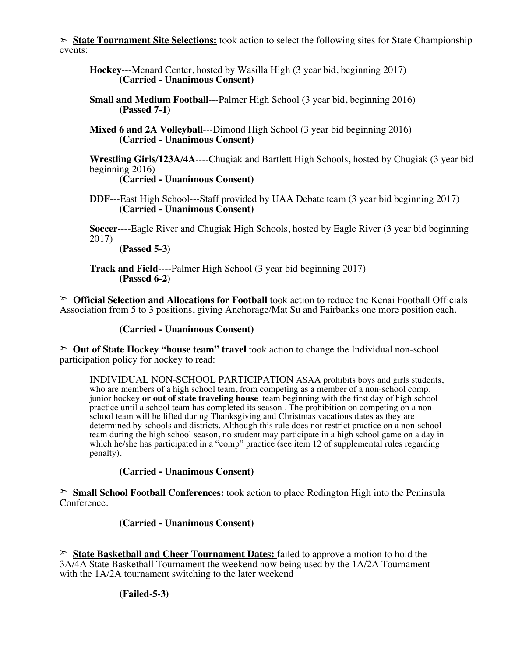➣ **State Tournament Site Selections:** took action to select the following sites for State Championship events:

- **Hockey**---Menard Center, hosted by Wasilla High (3 year bid, beginning 2017) **(Carried - Unanimous Consent)**
- **Small and Medium Football**---Palmer High School (3 year bid, beginning 2016) **(Passed 7-1)**
- **Mixed 6 and 2A Volleyball**---Dimond High School (3 year bid beginning 2016) **(Carried - Unanimous Consent)**

**Wrestling Girls/123A/4A**----Chugiak and Bartlett High Schools, hosted by Chugiak (3 year bid beginning 2016)

**(Carried - Unanimous Consent)**

**DDF**---East High School---Staff provided by UAA Debate team (3 year bid beginning 2017) **(Carried - Unanimous Consent)**

**Soccer-**---Eagle River and Chugiak High Schools, hosted by Eagle River (3 year bid beginning 2017)

**(Passed 5-3)**

**Track and Field**----Palmer High School (3 year bid beginning 2017) **(Passed 6-2)**

➣ **Official Selection and Allocations for Football** took action to reduce the Kenai Football Officials Association from 5 to 3 positions, giving Anchorage/Mat Su and Fairbanks one more position each.

#### **(Carried - Unanimous Consent)**

➣ **Out of State Hockey "house team" travel** took action to change the Individual non-school participation policy for hockey to read:

INDIVIDUAL NON-SCHOOL PARTICIPATION ASAA prohibits boys and girls students, who are members of a high school team, from competing as a member of a non-school comp, junior hockey **or out of state traveling house** team beginning with the first day of high school practice until a school team has completed its season . The prohibition on competing on a nonschool team will be lifted during Thanksgiving and Christmas vacations dates as they are determined by schools and districts. Although this rule does not restrict practice on a non-school team during the high school season, no student may participate in a high school game on a day in which he/she has participated in a "comp" practice (see item 12 of supplemental rules regarding penalty).

## **(Carried - Unanimous Consent)**

➣ **Small School Football Conferences:** took action to place Redington High into the Peninsula Conference.

## **(Carried - Unanimous Consent)**

➣ **State Basketball and Cheer Tournament Dates:** failed to approve a motion to hold the 3A/4A State Basketball Tournament the weekend now being used by the 1A/2A Tournament with the 1A/2A tournament switching to the later weekend

**(Failed-5-3)**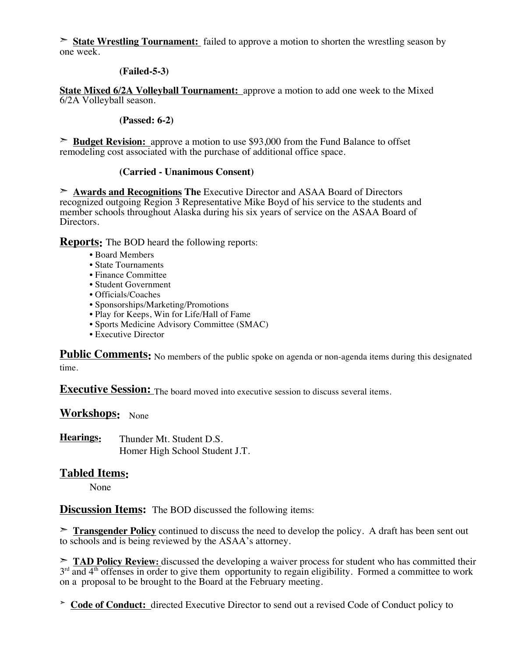➣ **State Wrestling Tournament:** failed to approve a motion to shorten the wrestling season by one week.

## **(Failed-5-3)**

**State Mixed 6/2A Volleyball Tournament:** approve a motion to add one week to the Mixed 6/2A Volleyball season.

#### **(Passed: 6-2)**

➣ **Budget Revision:** approve a motion to use \$93,000 from the Fund Balance to offset remodeling cost associated with the purchase of additional office space.

#### **(Carried - Unanimous Consent)**

➣ **Awards and Recognitions The** Executive Director and ASAA Board of Directors recognized outgoing Region 3 Representative Mike Boyd of his service to the students and member schools throughout Alaska during his six years of service on the ASAA Board of Directors.

**Reports:** The BOD heard the following reports:

- Board Members
- State Tournaments
- Finance Committee
- Student Government
- Officials/Coaches
- Sponsorships/Marketing/Promotions
- Play for Keeps, Win for Life/Hall of Fame
- Sports Medicine Advisory Committee (SMAC)
- Executive Director

Public Comments: No members of the public spoke on agenda or non-agenda items during this designated time.

**Executive Session:** The board moved into executive session to discuss several items.

**Workshops:** None

**Hearings:** Thunder Mt. Student D.S. Homer High School Student J.T.

# **Tabled Items:**

None

**Discussion Items:** The BOD discussed the following items:

➣ **Transgender Policy** continued to discuss the need to develop the policy. A draft has been sent out to schools and is being reviewed by the ASAA's attorney.

➣ **TAD Policy Review:** discussed the developing a waiver process for student who has committed their  $3<sup>rd</sup>$  and  $4<sup>th</sup>$  offenses in order to give them opportunity to regain eligibility. Formed a committee to work on a proposal to be brought to the Board at the February meeting.

➣ **Code of Conduct:** directed Executive Director to send out a revised Code of Conduct policy to